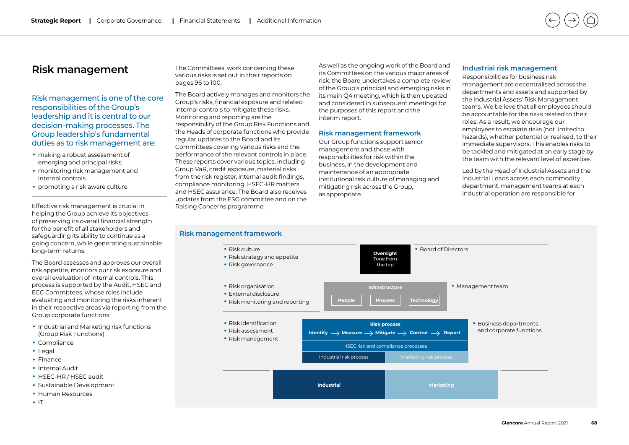# **Risk management**

Risk management is one of the core responsibilities of the Group's leadership and it is central to our decision-making processes. The Group leadership's fundamental duties as to risk management are:

- making a robust assessment of emerging and principal risks
- monitoring risk management and internal controls
- promoting a risk aware culture

Effective risk management is crucial in helping the Group achieve its objectives of preserving its overall financial strength for the benefit of all stakeholders and safeguarding its ability to continue as a going concern, while generating sustainable long-term returns.

The Board assesses and approves our overall risk appetite, monitors our risk exposure and overall evaluation of internal controls. This process is supported by the Audit, HSEC and ECC Committees, whose roles include evaluating and monitoring the risks inherent in their respective areas via reporting from the Group corporate functions:

- Industrial and Marketing risk functions (Group Risk Functions)
- Compliance
- Legal
- Finance
- Internal Audit
- HSEC-HR / HSEC audit
- Sustainable Development
- Human Resources
- IT

The Committees' work concerning these various risks is set out in their reports on pages 96 to 100.

The Board actively manages and monitors the Group's risks, financial exposure and related internal controls to mitigate these risks. Monitoring and reporting are the responsibility of the Group Risk Functions and the Heads of corporate functions who provide regular updates to the Board and its Committees covering various risks and the performance of the relevant controls in place. These reports cover various topics, including Group VaR, credit exposure, material risks from the risk register, internal audit findings, compliance monitoring, HSEC-HR matters and HSEC assurance. The Board also receives updates from the ESG committee and on the Raising Concerns programme.

As well as the ongoing work of the Board and its Committees on the various major areas of risk, the Board undertakes a complete review of the Group's principal and emerging risks in its main Q4 meeting, which is then updated and considered in subsequent meetings for the purposes of this report and the interim report.

### **Risk management framework**

Our Group functions support senior management and those with responsibilities for risk within the business, in the development and maintenance of an appropriate institutional risk culture of managing and mitigating risk across the Group, as appropriate.

### **Industrial risk management**

Responsibilities for business risk management are decentralised across the departments and assets and supported by the Industrial Assets' Risk Management teams. We believe that all employees should be accountable for the risks related to their roles. As a result, we encourage our employees to escalate risks (not limited to hazards), whether potential or realised, to their immediate supervisors. This enables risks to be tackled and mitigated at an early stage by the team with the relevant level of expertise.

Led by the Head of Industrial Assets and the Industrial Leads across each commodity department, management teams at each industrial operation are responsible for

### **Risk management framework**

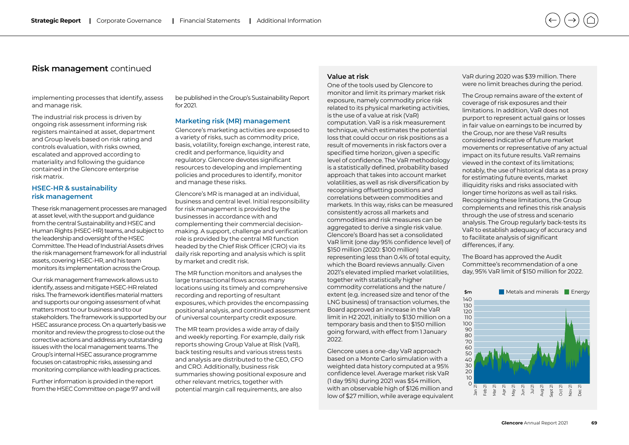implementing processes that identify, assess and manage risk.

The industrial risk process is driven by ongoing risk assessment informing risk registers maintained at asset, department and Group levels based on risk rating and controls evaluation, with risks owned, escalated and approved according to materiality and following the guidance contained in the Glencore enterprise risk matrix.

### **HSEC-HR & sustainability risk management**

These risk management processes are managed at asset level, with the support and guidance from the central Sustainability and HSEC and Human Rights (HSEC-HR) teams, and subject to the leadership and oversight of the HSEC Committee. The Head of Industrial Assets drives the risk management framework for all industrial assets, covering HSEC-HR, and his team monitors its implementation across the Group.

Our risk management framework allows us to identify, assess and mitigate HSEC-HR related risks. The framework identifies material matters and supports our ongoing assessment of what matters most to our business and to our stakeholders. The framework is supported by our HSEC assurance process. On a quarterly basis we monitor and review the progress to close out the corrective actions and address any outstanding issues with the local management teams. The Group's internal HSEC assurance programme focuses on catastrophic risks, assessing and monitoring compliance with leading practices.

Further information is provided in the report from the HSEC Committee on page 97 and will

be published in the Group's Sustainability Report for 2021.

#### **Marketing risk (MR) management**

Glencore's marketing activities are exposed to a variety of risks, such as commodity price, basis, volatility, foreign exchange, interest rate, credit and performance, liquidity and regulatory. Glencore devotes significant resources to developing and implementing policies and procedures to identify, monitor and manage these risks.

Glencore's MR is managed at an individual, business and central level. Initial responsibility for risk management is provided by the businesses in accordance with and complementing their commercial decisionmaking. A support, challenge and verification role is provided by the central MR function headed by the Chief Risk Officer (CRO) via its daily risk reporting and analysis which is split by market and credit risk.

The MR function monitors and analyses the large transactional flows across many locations using its timely and comprehensive recording and reporting of resultant exposures, which provides the encompassing positional analysis, and continued assessment of universal counterparty credit exposure.

The MR team provides a wide array of daily and weekly reporting. For example, daily risk reports showing Group Value at Risk (VaR), back testing results and various stress tests and analysis are distributed to the CEO, CFO and CRO. Additionally, business risk summaries showing positional exposure and other relevant metrics, together with potential margin call requirements, are also

### **Value at risk**

One of the tools used by Glencore to monitor and limit its primary market risk exposure, namely commodity price risk related to its physical marketing activities, is the use of a value at risk (VaR) computation. VaR is a risk measurement technique, which estimates the potential loss that could occur on risk positions as a result of movements in risk factors over a specified time horizon, given a specific level of confidence. The VaR methodology is a statistically defined, probability based approach that takes into account market volatilities, as well as risk diversification by recognising offsetting positions and correlations between commodities and markets. In this way, risks can be measured consistently across all markets and commodities and risk measures can be aggregated to derive a single risk value. Glencore's Board has set a consolidated VaR limit (one day 95% confidence level) of \$150 million (2020: \$100 million) representing less than 0.4% of total equity, which the Board reviews annually. Given 2021's elevated implied market volatilities, together with statistically higher commodity correlations and the nature / extent (e.g. increased size and tenor of the LNG business) of transaction volumes, the Board approved an increase in the VaR limit in H2 2021, initially to \$130 million on a temporary basis and then to \$150 million going forward, with effect from 1 January 2022.

Glencore uses a one-day VaR approach based on a Monte Carlo simulation with a weighted data history computed at a 95% confidence level. Average market risk VaR (1 day 95%) during 2021 was \$54 million, with an observable high of \$126 million and low of \$27 million, while average equivalent VaR during 2020 was \$39 million. There were no limit breaches during the period.

The Group remains aware of the extent of coverage of risk exposures and their limitations. In addition, VaR does not purport to represent actual gains or losses in fair value on earnings to be incurred by the Group, nor are these VaR results considered indicative of future market movements or representative of any actual impact on its future results. VaR remains viewed in the context of its limitations; notably, the use of historical data as a proxy for estimating future events, market illiquidity risks and risks associated with longer time horizons as well as tail risks. Recognising these limitations, the Group complements and refines this risk analysis through the use of stress and scenario analysis. The Group regularly back-tests its VaR to establish adequacy of accuracy and to facilitate analysis of significant differences, if any.

The Board has approved the Audit Committee's recommendation of a one day, 95% VaR limit of \$150 million for 2022.

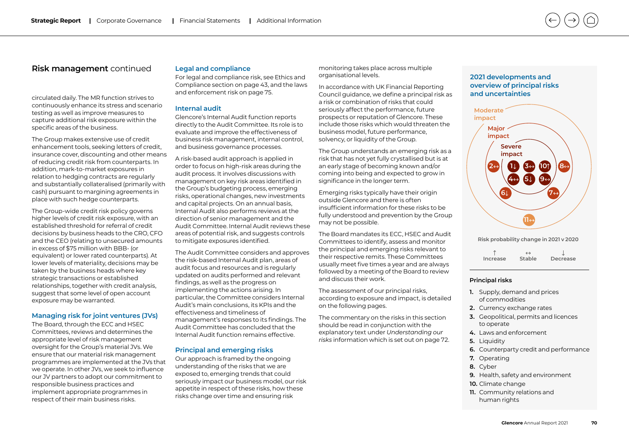circulated daily. The MR function strives to continuously enhance its stress and scenario testing as well as improve measures to capture additional risk exposure within the specific areas of the business.

The Group makes extensive use of credit enhancement tools, seeking letters of credit, insurance cover, discounting and other means of reducing credit risk from counterparts. In addition, mark-to-market exposures in relation to hedging contracts are regularly and substantially collateralised (primarily with cash) pursuant to margining agreements in place with such hedge counterparts.

The Group-wide credit risk policy governs higher levels of credit risk exposure, with an established threshold for referral of credit decisions by business heads to the CRO, CFO and the CEO (relating to unsecured amounts in excess of \$75 million with BBB- (or equivalent) or lower rated counterparts). At lower levels of materiality, decisions may be taken by the business heads where key strategic transactions or established relationships, together with credit analysis, suggest that some level of open account exposure may be warranted.

#### **Managing risk for joint ventures (JVs)**

The Board, through the ECC and HSEC Committees, reviews and determines the appropriate level of risk management oversight for the Group's material JVs. We ensure that our material risk management programmes are implemented at the JVs that we operate. In other JVs, we seek to influence our JV partners to adopt our commitment to responsible business practices and implement appropriate programmes in respect of their main business risks.

### **Legal and compliance**

For legal and compliance risk, see Ethics and Compliance section on page 43, and the laws and enforcement risk on page 75.

#### **Internal audit**

Glencore's Internal Audit function reports directly to the Audit Committee. Its role is to evaluate and improve the effectiveness of business risk management, internal control, and business governance processes.

A risk-based audit approach is applied in order to focus on high-risk areas during the audit process. It involves discussions with management on key risk areas identified in the Group's budgeting process, emerging risks, operational changes, new investments and capital projects. On an annual basis, Internal Audit also performs reviews at the direction of senior management and the Audit Committee. Internal Audit reviews these areas of potential risk, and suggests controls to mitigate exposures identified.

The Audit Committee considers and approves the risk-based Internal Audit plan, areas of audit focus and resources and is regularly updated on audits performed and relevant findings, as well as the progress on implementing the actions arising. In particular, the Committee considers Internal Audit's main conclusions, its KPIs and the effectiveness and timeliness of management's responses to its findings. The Audit Committee has concluded that the Internal Audit function remains effective.

### **Principal and emerging risks**

Our approach is framed by the ongoing understanding of the risks that we are exposed to, emerging trends that could seriously impact our business model, our risk appetite in respect of these risks, how these risks change over time and ensuring risk

monitoring takes place across multiple organisational levels.

In accordance with UK Financial Reporting Council guidance, we define a principal risk as a risk or combination of risks that could seriously affect the performance, future prospects or reputation of Glencore. These include those risks which would threaten the business model, future performance, solvency, or liquidity of the Group.

The Group understands an emerging risk as a risk that has not yet fully crystallised but is at an early stage of becoming known and/or coming into being and expected to grow in significance in the longer term.

Emerging risks typically have their origin outside Glencore and there is often insufficient information for these risks to be fully understood and prevention by the Group may not be possible.

The Board mandates its ECC, HSEC and Audit Committees to identify, assess and monitor the principal and emerging risks relevant to their respective remits. These Committees usually meet five times a year and are always followed by a meeting of the Board to review and discuss their work.

The assessment of our principal risks, according to exposure and impact, is detailed on the following pages.

The commentary on the risks in this section should be read in conjunction with the explanatory text under *Understanding our risks* information which is set out on page 72.

### **2021 developments and overview of principal risks and uncertainties**



**Risk probability change in 2021 v 2020**

|          | $\leftrightarrow$ |          |
|----------|-------------------|----------|
| Increase | Stable            | Decrease |

#### **Principal risks**

- **1.** Supply, demand and prices of commodities
- **2.** Currency exchange rates
- **3.** Geopolitical, permits and licences to operate
- **4.** Laws and enforcement
- **5.** Liquidity
- **6.** Counterparty credit and performance
- **7.** Operating
- **8.** Cyber
- **9.** Health, safety and environment
- **10.** Climate change
- **11.** Community relations and human rights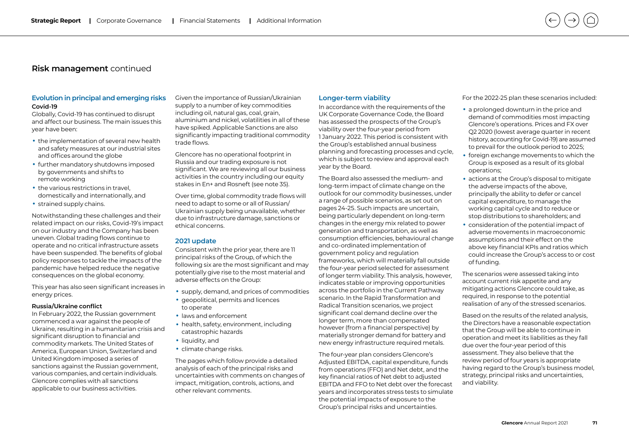## **Evolution in principal and emerging risks**

#### **Covid-19**

Globally, Covid-19 has continued to disrupt and affect our business. The main issues this year have been:

- the implementation of several new health and safety measures at our industrial sites and offices around the globe
- further mandatory shutdowns imposed by governments and shifts to remote working
- the various restrictions in travel, domestically and internationally, and
- strained supply chains.

Notwithstanding these challenges and their related impact on our risks, Covid-19's impact on our industry and the Company has been uneven. Global trading flows continue to operate and no critical infrastructure assets have been suspended. The benefits of global policy responses to tackle the impacts of the pandemic have helped reduce the negative consequences on the global economy.

This year has also seen significant increases in energy prices.

### **Russia/Ukraine conflict**

In February 2022, the Russian government commenced a war against the people of Ukraine, resulting in a humanitarian crisis and significant disruption to financial and commodity markets. The United States of America, European Union, Switzerland and United Kingdom imposed a series of sanctions against the Russian government, various companies, and certain individuals. Glencore complies with all sanctions applicable to our business activities.

Given the importance of Russian/Ukrainian supply to a number of key commodities including oil, natural gas, coal, grain, aluminium and nickel, volatilities in all of these have spiked. Applicable Sanctions are also significantly impacting traditional commodity trade flows.

Glencore has no operational footprint in Russia and our trading exposure is not significant. We are reviewing all our business activities in the country including our equity stakes in En+ and Rosneft (see note 35).

Over time, global commodity trade flows will need to adapt to some or all of Russian/ Ukrainian supply being unavailable, whether due to infrastructure damage, sanctions or ethical concerns.

#### **2021 update**

Consistent with the prior year, there are 11 principal risks of the Group, of which the following six are the most significant and may potentially give rise to the most material and adverse effects on the Group:

- supply, demand, and prices of commodities
- geopolitical, permits and licences to operate
- laws and enforcement
- health, safety, environment, including catastrophic hazards
- liquidity, and
- climate change risks.

The pages which follow provide a detailed analysis of each of the principal risks and uncertainties with comments on changes of impact, mitigation, controls, actions, and other relevant comments.

### **Longer-term viability**

In accordance with the requirements of the UK Corporate Governance Code, the Board has assessed the prospects of the Group's viability over the four-year period from 1 January 2022. This period is consistent with the Group's established annual business planning and forecasting processes and cycle, which is subject to review and approval each year by the Board.

The Board also assessed the medium- and long-term impact of climate change on the outlook for our commodity businesses, under a range of possible scenarios, as set out on pages 24-25. Such impacts are uncertain, being particularly dependent on long-term changes in the energy mix related to power generation and transportation, as well as consumption efficiencies, behavioural change and co-ordinated implementation of government policy and regulation frameworks, which will materially fall outside the four-year period selected for assessment of longer term viability. This analysis, however, indicates stable or improving opportunities across the portfolio in the Current Pathway scenario. In the Rapid Transformation and Radical Transition scenarios, we project significant coal demand decline over the longer term, more than compensated however (from a financial perspective) by materially stronger demand for battery and new energy infrastructure required metals.

The four-year plan considers Glencore's Adjusted EBITDA, capital expenditure, funds from operations (FFO) and Net debt, and the key financial ratios of Net debt to adjusted EBITDA and FFO to Net debt over the forecast years and incorporates stress tests to simulate the potential impacts of exposure to the Group's principal risks and uncertainties.

For the 2022-25 plan these scenarios included:

- a prolonged downturn in the price and demand of commodities most impacting Glencore's operations. Prices and FX over Q2 2020 (lowest average quarter in recent history, accounting for Covid-19) are assumed to prevail for the outlook period to 2025;
- foreign exchange movements to which the Group is exposed as a result of its global operations;
- actions at the Group's disposal to mitigate the adverse impacts of the above, principally the ability to defer or cancel capital expenditure, to manage the working capital cycle and to reduce or stop distributions to shareholders; and
- consideration of the potential impact of adverse movements in macroeconomic assumptions and their effect on the above key financial KPIs and ratios which could increase the Group's access to or cost of funding.

The scenarios were assessed taking into account current risk appetite and any mitigating actions Glencore could take, as required, in response to the potential realisation of any of the stressed scenarios.

Based on the results of the related analysis, the Directors have a reasonable expectation that the Group will be able to continue in operation and meet its liabilities as they fall due over the four-year period of this assessment. They also believe that the review period of four years is appropriate having regard to the Group's business model, strategy, principal risks and uncertainties, and viability.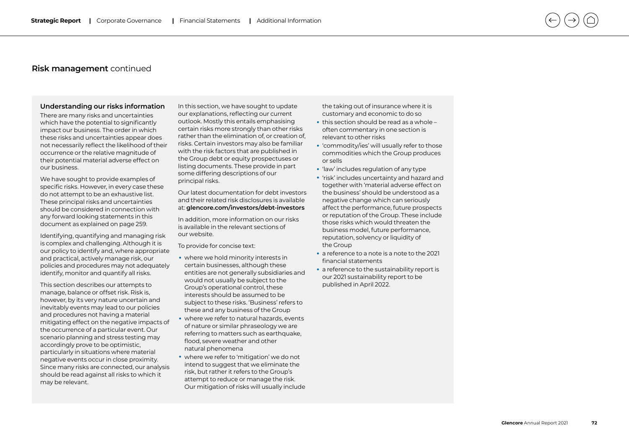#### **Understanding our risks information**

There are many risks and uncertainties which have the potential to significantly impact our business. The order in which these risks and uncertainties appear does not necessarily reflect the likelihood of their occurrence or the relative magnitude of their potential material adverse effect on our business.

We have sought to provide examples of specific risks. However, in every case these do not attempt to be an exhaustive list. These principal risks and uncertainties should be considered in connection with any forward looking statements in this document as explained on page 259.

Identifying, quantifying and managing risk is complex and challenging. Although it is our policy to identify and, where appropriate and practical, actively manage risk, our policies and procedures may not adequately identify, monitor and quantify all risks.

This section describes our attempts to manage, balance or offset risk. Risk is, however, by its very nature uncertain and inevitably events may lead to our policies and procedures not having a material mitigating effect on the negative impacts of the occurrence of a particular event. Our scenario planning and stress testing may accordingly prove to be optimistic, particularly in situations where material negative events occur in close proximity. Since many risks are connected, our analysis should be read against all risks to which it may be relevant.

In this section, we have sought to update our explanations, reflecting our current outlook. Mostly this entails emphasising certain risks more strongly than other risks rather than the elimination of, or creation of, risks. Certain investors may also be familiar with the risk factors that are published in the Group debt or equity prospectuses or listing documents. These provide in part some differing descriptions of our principal risks.

Our latest documentation for debt investors and their related risk disclosures is available at: **[glencore.com/investors/debt-investors](https://www.glencore.com/investors/debt-investors)**

In addition, more information on our risks is available in the relevant sections of our website.

To provide for concise text:

- where we hold minority interests in certain businesses, although these entities are not generally subsidiaries and would not usually be subject to the Group's operational control, these interests should be assumed to be subject to these risks. 'Business' refers to these and any business of the Group
- where we refer to natural hazards, events of nature or similar phraseology we are referring to matters such as earthquake, flood, severe weather and other natural phenomena
- where we refer to 'mitigation' we do not intend to suggest that we eliminate the risk, but rather it refers to the Group's attempt to reduce or manage the risk. Our mitigation of risks will usually include

the taking out of insurance where it is customary and economic to do so

- this section should be read as a whole often commentary in one section is relevant to other risks
- 'commodity/ies' will usually refer to those commodities which the Group produces or sells
- 
- 'law' includes regulation of any type 'risk' includes uncertainty and hazard and together with 'material adverse effect on the business' should be understood as a negative change which can seriously affect the performance, future prospects or reputation of the Group. These include those risks which would threaten the business model, future performance, reputation, solvency or liquidity of the Group
- a reference to a note is a note to the 2021 financial statements
- a reference to the sustainability report is our 2021 sustainability report to be published in April 2022.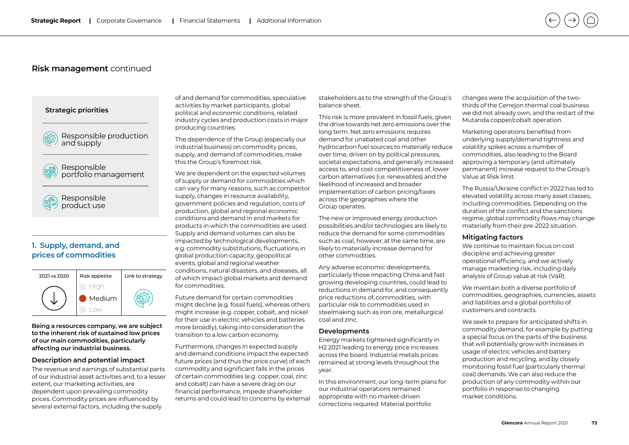### **Strategic priorities**



Responsible production and supply



Responsible product use

## **1. Supply, demand, and prices of commodities**



**Being a resources company, we are subject to the inherent risk of sustained low prices of our main commodities, particularly affecting our industrial business.** 

### **Description and potential impact**

The revenue and earnings of substantial parts of our industrial asset activities and, to a lesser extent, our marketing activities, are dependent upon prevailing commodity prices. Commodity prices are influenced by several external factors, including the supply

of and demand for commodities, speculative activities by market participants, global political and economic conditions, related industry cycles and production costs in major producing countries.

The dependence of the Group (especially our industrial business) on commodity prices, supply, and demand of commodities, make this the Group's foremost risk.

We are dependent on the expected volumes of supply or demand for commodities which can vary for many reasons, such as competitor supply, changes in resource availability, government policies and regulation, costs of production, global and regional economic conditions and demand in end markets for products in which the commodities are used. Supply and demand volumes can also be impacted by technological developments, e.g. commodity substitutions, fluctuations in global production capacity, geopolitical events, global and regional weather conditions, natural disasters, and diseases, all of which impact global markets and demand for commodities.

Future demand for certain commodities might decline (e.g. fossil fuels), whereas others might increase (e.g. copper, cobalt, and nickel for their use in electric vehicles and batteries more broadly), taking into consideration the transition to a low carbon economy.

Furthermore, changes in expected supply and demand conditions impact the expected future prices (and thus the price curve) of each commodity and significant falls in the prices of certain commodities (e.g. copper, coal, zinc and cobalt) can have a severe drag on our financial performance, impede shareholder returns and could lead to concerns by external stakeholders as to the strength of the Group's balance sheet.

This risk is more prevalent in fossil fuels, given the drive towards net zero emissions over the long term. Net zero emissions requires demand for unabated coal and other hydrocarbon fuel sources to materially reduce over time, driven on by political pressures, societal expectations, and generally increased access to, and cost competitiveness of, lower carbon alternatives (i.e. renewables) and the likelihood of increased and broader implementation of carbon pricing/taxes across the geographies where the Group operates.

The new or improved energy production possibilities and/or technologies are likely to reduce the demand for some commodities such as coal, however, at the same time, are likely to materially increase demand for other commodities.

Any adverse economic developments, particularly those impacting China and fast growing developing countries, could lead to reductions in demand for, and consequently price reductions of, commodities, with particular risk to commodities used in steelmaking such as iron ore, metallurgical coal and zinc.

#### **Developments**

Energy markets tightened significantly in H2 2021 leading to energy price increases across the board. Industrial metals prices remained at strong levels throughout the year.

In this environment, our long-term plans for our industrial operations remained appropriate with no market-driven corrections required. Material portfolio

changes were the acquisition of the twothirds of the Cerrejon thermal coal business we did not already own, and the restart of the Mutanda copper/cobalt operation.

Marketing operations benefited from underlying supply/demand tightness and volatility spikes across a number of commodities, also leading to the Board approving a temporary (and ultimately permanent) increase request to the Group's Value at Risk limit.

The Russia/Ukraine conflict in 2022 has led to elevated volatility across many asset classes, including commodities. Depending on the duration of the conflict and the sanctions regime, global commodity flows may change materially from their pre-2022 situation.

#### **Mitigating factors**

We continue to maintain focus on cost discipline and achieving greater operational efficiency, and we actively manage marketing risk, including daily analysis of Group value at risk (VaR).

We maintain both a diverse portfolio of commodities, geographies, currencies, assets and liabilities and a global portfolio of customers and contracts.

We seek to prepare for anticipated shifts in commodity demand, for example by putting a special focus on the parts of the business that will potentially grow with increases in usage of electric vehicles and battery production and recycling, and by closely monitoring fossil fuel (particularly thermal coal) demands. We can also reduce the production of any commodity within our portfolio in response to changing market conditions.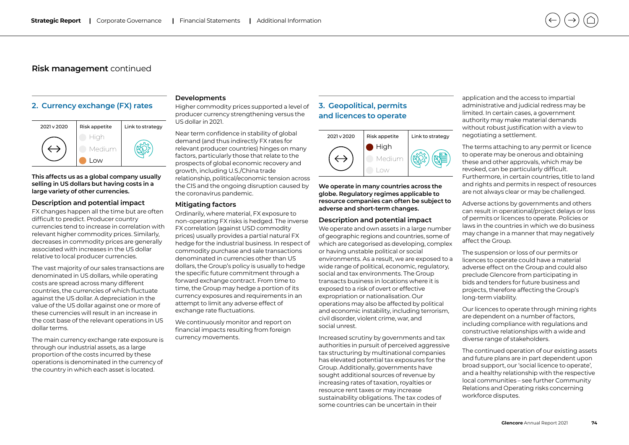### **2. Currency exchange (FX) rates**



**This affects us as a global company usually selling in US dollars but having costs in a large variety of other currencies.** 

### **Description and potential impact**

FX changes happen all the time but are often difficult to predict. Producer country currencies tend to increase in correlation with relevant higher commodity prices. Similarly, decreases in commodity prices are generally associated with increases in the US dollar relative to local producer currencies.

The vast majority of our sales transactions are denominated in US dollars, while operating costs are spread across many different countries, the currencies of which fluctuate against the US dollar. A depreciation in the value of the US dollar against one or more of these currencies will result in an increase in the cost base of the relevant operations in US dollar terms.

The main currency exchange rate exposure is through our industrial assets, as a large proportion of the costs incurred by these operations is denominated in the currency of the country in which each asset is located.

### **Developments**

Higher commodity prices supported a level of producer currency strengthening versus the US dollar in 2021.

Near term confidence in stability of global demand (and thus indirectly FX rates for relevant producer countries) hinges on many factors, particularly those that relate to the prospects of global economic recovery and growth, including U.S./China trade relationship, political/economic tension across the CIS and the ongoing disruption caused by the coronavirus pandemic.

#### **Mitigating factors**

Ordinarily, where material, FX exposure to non-operating FX risks is hedged. The inverse FX correlation (against USD commodity prices) usually provides a partial natural FX hedge for the industrial business. In respect of commodity purchase and sale transactions denominated in currencies other than US dollars, the Group's policy is usually to hedge the specific future commitment through a forward exchange contract. From time to time, the Group may hedge a portion of its currency exposures and requirements in an attempt to limit any adverse effect of exchange rate fluctuations.

We continuously monitor and report on financial impacts resulting from foreign currency movements.

## **3. Geopolitical, permits and licences to operate**



**We operate in many countries across the globe. Regulatory regimes applicable to resource companies can often be subject to adverse and short-term changes.**

### **Description and potential impact**

We operate and own assets in a large number of geographic regions and countries, some of which are categorised as developing, complex or having unstable political or social environments. As a result, we are exposed to a wide range of political, economic, regulatory, social and tax environments. The Group transacts business in locations where it is exposed to a risk of overt or effective expropriation or nationalisation. Our operations may also be affected by political and economic instability, including terrorism, civil disorder, violent crime, war, and social unrest.

Increased scrutiny by governments and tax authorities in pursuit of perceived aggressive tax structuring by multinational companies has elevated potential tax exposures for the Group. Additionally, governments have sought additional sources of revenue by increasing rates of taxation, royalties or resource rent taxes or may increase sustainability obligations. The tax codes of some countries can be uncertain in their

application and the access to impartial administrative and judicial redress may be limited. In certain cases, a government authority may make material demands without robust justification with a view to negotiating a settlement.

The terms attaching to any permit or licence to operate may be onerous and obtaining these and other approvals, which may be revoked, can be particularly difficult. Furthermore, in certain countries, title to land and rights and permits in respect of resources are not always clear or may be challenged.

Adverse actions by governments and others can result in operational/project delays or loss of permits or licences to operate. Policies or laws in the countries in which we do business may change in a manner that may negatively affect the Group.

The suspension or loss of our permits or licences to operate could have a material adverse effect on the Group and could also preclude Glencore from participating in bids and tenders for future business and projects, therefore affecting the Group's long-term viability.

Our licences to operate through mining rights are dependent on a number of factors, including compliance with regulations and constructive relationships with a wide and diverse range of stakeholders.

The continued operation of our existing assets and future plans are in part dependent upon broad support, our 'social licence to operate', and a healthy relationship with the respective local communities – see further Community Relations and Operating risks concerning workforce disputes.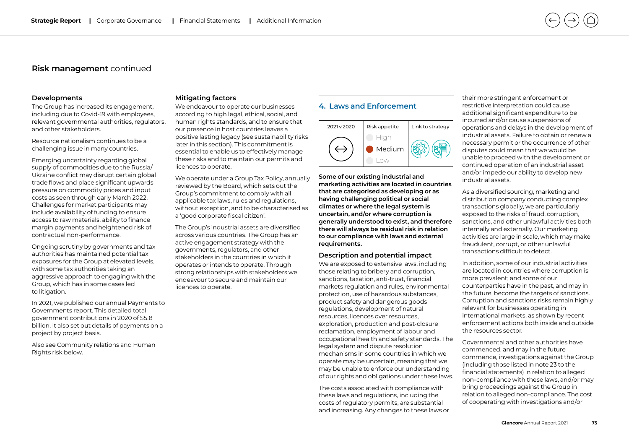#### **Developments**

The Group has increased its engagement, including due to Covid-19 with employees, relevant governmental authorities, regulators, and other stakeholders.

Resource nationalism continues to be a challenging issue in many countries.

Emerging uncertainty regarding global supply of commodities due to the Russia/ Ukraine conflict may disrupt certain global trade flows and place significant upwards pressure on commodity prices and input costs as seen through early March 2022. Challenges for market participants may include availability of funding to ensure access to raw materials, ability to finance margin payments and heightened risk of contractual non-performance.

Ongoing scrutiny by governments and tax authorities has maintained potential tax exposures for the Group at elevated levels, with some tax authorities taking an aggressive approach to engaging with the Group, which has in some cases led to litigation.

In 2021, we published our annual Payments to Governments report. This detailed total government contributions in 2020 of \$5.8 billion. It also set out details of payments on a project by project basis.

Also see Community relations and Human Rights risk below.

### **Mitigating factors**

We endeavour to operate our businesses according to high legal, ethical, social, and human rights standards, and to ensure that our presence in host countries leaves a positive lasting legacy (see sustainability risks later in this section). This commitment is essential to enable us to effectively manage these risks and to maintain our permits and licences to operate.

We operate under a Group Tax Policy, annually reviewed by the Board, which sets out the Group's commitment to comply with all applicable tax laws, rules and regulations, without exception, and to be characterised as a 'good corporate fiscal citizen'.

The Group's industrial assets are diversified across various countries. The Group has an active engagement strategy with the governments, regulators, and other stakeholders in the countries in which it operates or intends to operate. Through strong relationships with stakeholders we endeavour to secure and maintain our licences to operate.

### **4. Laws and Enforcement**



**Some of our existing industrial and marketing activities are located in countries that are categorised as developing or as having challenging political or social climates or where the legal system is uncertain, and/or where corruption is generally understood to exist, and therefore there will always be residual risk in relation to our compliance with laws and external requirements.**

#### **Description and potential impact**

We are exposed to extensive laws, including those relating to bribery and corruption, sanctions, taxation, anti-trust, financial markets regulation and rules, environmental protection, use of hazardous substances, product safety and dangerous goods regulations, development of natural resources, licences over resources, exploration, production and post-closure reclamation, employment of labour and occupational health and safety standards. The legal system and dispute resolution mechanisms in some countries in which we operate may be uncertain, meaning that we may be unable to enforce our understanding of our rights and obligations under these laws.

The costs associated with compliance with these laws and regulations, including the costs of regulatory permits, are substantial and increasing. Any changes to these laws or their more stringent enforcement or restrictive interpretation could cause additional significant expenditure to be incurred and/or cause suspensions of operations and delays in the development of industrial assets. Failure to obtain or renew a necessary permit or the occurrence of other disputes could mean that we would be unable to proceed with the development or continued operation of an industrial asset and/or impede our ability to develop new industrial assets.

As a diversified sourcing, marketing and distribution company conducting complex transactions globally, we are particularly exposed to the risks of fraud, corruption, sanctions, and other unlawful activities both internally and externally. Our marketing activities are large in scale, which may make fraudulent, corrupt, or other unlawful transactions difficult to detect.

In addition, some of our industrial activities are located in countries where corruption is more prevalent; and some of our counterparties have in the past, and may in the future, become the targets of sanctions. Corruption and sanctions risks remain highly relevant for businesses operating in international markets, as shown by recent enforcement actions both inside and outside the resources sector.

Governmental and other authorities have commenced, and may in the future commence, investigations against the Group (including those listed in note 23 to the financial statements) in relation to alleged non-compliance with these laws, and/or may bring proceedings against the Group in relation to alleged non-compliance. The cost of cooperating with investigations and/or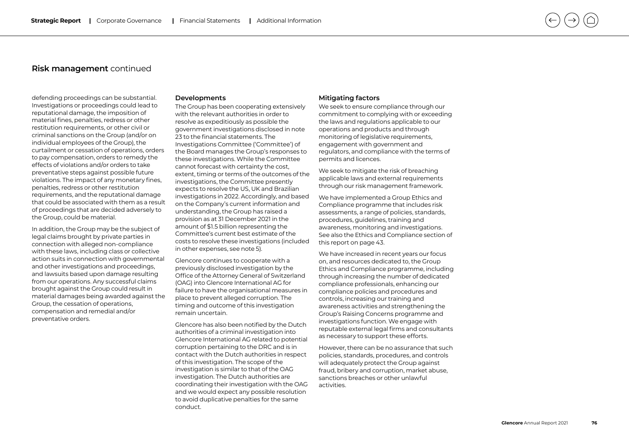defending proceedings can be substantial. Investigations or proceedings could lead to reputational damage, the imposition of material fines, penalties, redress or other restitution requirements, or other civil or criminal sanctions on the Group (and/or on individual employees of the Group), the curtailment or cessation of operations, orders to pay compensation, orders to remedy the effects of violations and/or orders to take preventative steps against possible future violations. The impact of any monetary fines, penalties, redress or other restitution requirements, and the reputational damage that could be associated with them as a result of proceedings that are decided adversely to the Group, could be material.

In addition, the Group may be the subject of legal claims brought by private parties in connection with alleged non-compliance with these laws, including class or collective action suits in connection with governmental and other investigations and proceedings, and lawsuits based upon damage resulting from our operations. Any successful claims brought against the Group could result in material damages being awarded against the Group, the cessation of operations, compensation and remedial and/or preventative orders.

### **Developments**

The Group has been cooperating extensively with the relevant authorities in order to resolve as expeditiously as possible the government investigations disclosed in note 23 to the financial statements. The Investigations Committee ('Committee') of the Board manages the Group's responses to these investigations. While the Committee cannot forecast with certainty the cost, extent, timing or terms of the outcomes of the investigations, the Committee presently expects to resolve the US, UK and Brazilian investigations in 2022. Accordingly, and based on the Company's current information and understanding, the Group has raised a provision as at 31 December 2021 in the amount of \$1.5 billion representing the Committee's current best estimate of the costs to resolve these investigations (included in other expenses, see note 5).

Glencore continues to cooperate with a previously disclosed investigation by the Office of the Attorney General of Switzerland (OAG) into Glencore International AG for failure to have the organisational measures in place to prevent alleged corruption. The timing and outcome of this investigation remain uncertain.

Glencore has also been notified by the Dutch authorities of a criminal investigation into Glencore International AG related to potential corruption pertaining to the DRC and is in contact with the Dutch authorities in respect of this investigation. The scope of the investigation is similar to that of the OAG investigation. The Dutch authorities are coordinating their investigation with the OAG and we would expect any possible resolution to avoid duplicative penalties for the same conduct.

#### **Mitigating factors**

We seek to ensure compliance through our commitment to complying with or exceeding the laws and regulations applicable to our operations and products and through monitoring of legislative requirements, engagement with government and regulators, and compliance with the terms of permits and licences.

We seek to mitigate the risk of breaching applicable laws and external requirements through our risk management framework.

We have implemented a Group Ethics and Compliance programme that includes risk assessments, a range of policies, standards, procedures, guidelines, training and awareness, monitoring and investigations. See also the Ethics and Compliance section of this report on page 43.

We have increased in recent years our focus on, and resources dedicated to, the Group Ethics and Compliance programme, including through increasing the number of dedicated compliance professionals, enhancing our compliance policies and procedures and controls, increasing our training and awareness activities and strengthening the Group's Raising Concerns programme and investigations function. We engage with reputable external legal firms and consultants as necessary to support these efforts.

However, there can be no assurance that such policies, standards, procedures, and controls will adequately protect the Group against fraud, bribery and corruption, market abuse, sanctions breaches or other unlawful activities.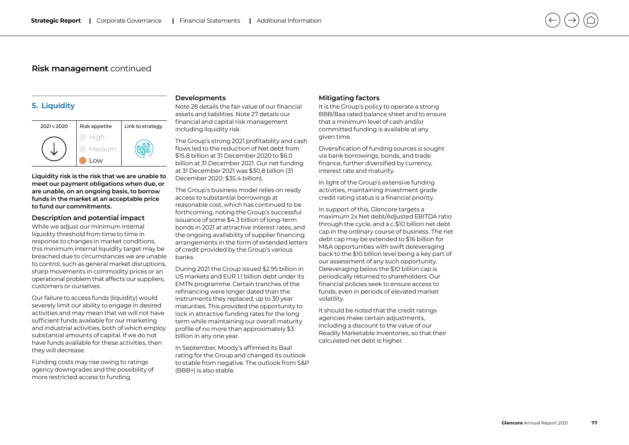### **5. Liquidity**



**Liquidity risk is the risk that we are unable to meet our payment obligations when due, or are unable, on an ongoing basis, to borrow funds in the market at an acceptable price to fund our commitments.**

#### **Description and potential impact**

While we adjust our minimum internal liquidity threshold from time to time in response to changes in market conditions, this minimum internal liquidity target may be breached due to circumstances we are unable to control, such as general market disruptions, sharp movements in commodity prices or an operational problem that affects our suppliers, customers or ourselves. **Risk management** continued<br> **Risk management** continued<br>
<br> **Properties and the continued access to funding and the state of the properties of the state of the state of the state of payers to fund in the market at an accep** 

Our failure to access funds (liquidity) would severely limit our ability to engage in desired activities and may mean that we will not have sufficient funds available for our marketing and industrial activities, both of which employ substantial amounts of capital. If we do not have funds available for these activities, then they will decrease.

Funding costs may rise owing to ratings agency downgrades and the possibility of

### **Developments**

Note 28 details the fair value of our financial assets and liabilities. Note 27 details our financial and capital risk management including liquidity risk.

The Group's strong 2021 profitability and cash flows led to the reduction of Net debt from \$15.8 billion at 31 December 2020 to \$6.0 billion at 31 December 2021. Our net funding at 31 December 2021 was \$30.8 billion (31 December 2020: \$35.4 billion).

The Group's business model relies on ready access to substantial borrowings at reasonable cost, which has continued to be forthcoming, noting the Group's successful issuance of some \$4.3 billion of long-term bonds in 2021 at attractive interest rates, and the ongoing availability of supplier financing arrangements in the form of extended letters of credit provided by the Group's various banks.

During 2021 the Group issued \$2.95 billion in US markets and EUR 1.1 billion debt under its EMTN programme. Certain tranches of the refinancing were longer dated than the instruments they replaced, up to 30 year maturities. This provided the opportunity to lock in attractive funding rates for the long term while maintaining our overall maturity profile of no more than approximately \$3 billion in any one year.

In September, Moody's affirmed its Baa1 rating for the Group and changed its outlook to stable from negative. The outlook from S&P (BBB+) is also stable.

#### **Mitigating factors**

It is the Group's policy to operate a strong BBB/Baa rated balance sheet and to ensure that a minimum level of cash and/or committed funding is available at any given time.

Diversification of funding sources is sought via bank borrowings, bonds, and trade finance, further diversified by currency, interest rate and maturity.

In light of the Group's extensive funding activities, maintaining investment grade credit rating status is a financial priority.

In support of this, Glencore targets a maximum 2x Net debt/Adjusted EBITDA ratio through the cycle, and a c.\$10 billion net debt cap in the ordinary course of business. The net debt cap may be extended to \$16 billion for M&A opportunities with swift deleveraging back to the \$10 billion level being a key part of our assessment of any such opportunity. Deleveraging below the \$10 billion cap is periodically returned to shareholders. Our financial policies seek to ensure access to funds, even in periods of elevated market volatility.

It should be noted that the credit ratings agencies make certain adjustments, including a discount to the value of our Readily Marketable Inventories, so that their calculated net debt is higher.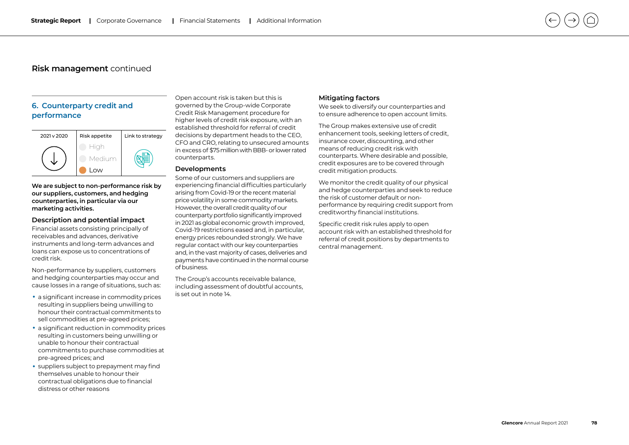## **6. Counterparty credit and performance**



**We are subject to non-performance risk by our suppliers, customers, and hedging counterparties, in particular via our marketing activities.**

### **Description and potential impact**

Financial assets consisting principally of receivables and advances, derivative instruments and long-term advances and loans can expose us to concentrations of credit risk.

Non-performance by suppliers, customers and hedging counterparties may occur and cause losses in a range of situations, such as:

- a significant increase in commodity prices resulting in suppliers being unwilling to honour their contractual commitments to sell commodities at pre-agreed prices;
- a significant reduction in commodity prices resulting in customers being unwilling or unable to honour their contractual commitments to purchase commodities at pre-agreed prices; and
- suppliers subject to prepayment may find themselves unable to honour their contractual obligations due to financial

Open account risk is taken but this is governed by the Group-wide Corporate Credit Risk Management procedure for higher levels of credit risk exposure, with an established threshold for referral of credit decisions by department heads to the CEO, CFO and CRO, relating to unsecured amounts in excess of \$75 million with BBB- or lower rated counterparts.

#### **Developments**

Some of our customers and suppliers are experiencing financial difficulties particularly arising from Covid-19 or the recent material price volatility in some commodity markets. However, the overall credit quality of our counterparty portfolio significantly improved in 2021 as global economic growth improved, Covid-19 restrictions eased and, in particular, energy prices rebounded strongly. We have regular contact with our key counterparties and, in the vast majority of cases, deliveries and payments have continued in the normal course of business.

The Group's accounts receivable balance, including assessment of doubtful accounts, is set out in note 14.

#### **Mitigating factors**

We seek to diversify our counterparties and to ensure adherence to open account limits.

The Group makes extensive use of credit enhancement tools, seeking letters of credit, insurance cover, discounting, and other means of reducing credit risk with counterparts. Where desirable and possible, credit exposures are to be covered through credit mitigation products.

We monitor the credit quality of our physical and hedge counterparties and seek to reduce the risk of customer default or nonperformance by requiring credit support from creditworthy financial institutions.

Specific credit risk rules apply to open account risk with an established threshold for referral of credit positions by departments to central management.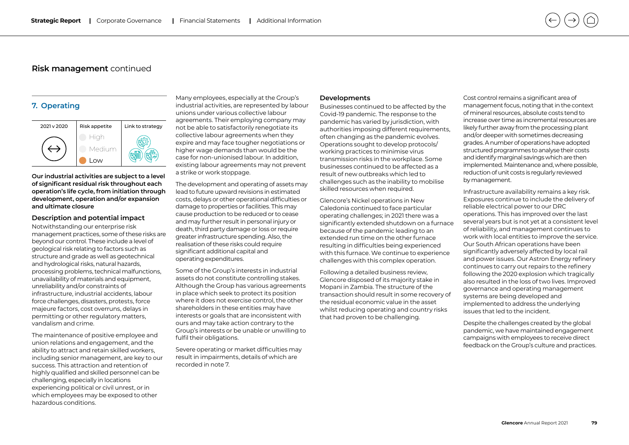## **7. Operating**



**Our industrial activities are subject to a level of significant residual risk throughout each operation's life cycle, from initiation through development, operation and/or expansion and ultimate closure**

#### **Description and potential impact**

Notwithstanding our enterprise risk management practices, some of these risks are beyond our control. These include a level of geological risk relating to factors such as structure and grade as well as geotechnical and hydrological risks, natural hazards, processing problems, technical malfunctions, unavailability of materials and equipment, unreliability and/or constraints of infrastructure, industrial accidents, labour force challenges, disasters, protests, force majeure factors, cost overruns, delays in permitting or other regulatory matters, vandalism and crime.

The maintenance of positive employee and union relations and engagement, and the ability to attract and retain skilled workers, including senior management, are key to our success. This attraction and retention of highly qualified and skilled personnel can be challenging, especially in locations experiencing political or civil unrest, or in which employees may be exposed to other hazardous conditions.

Many employees, especially at the Group's industrial activities, are represented by labour unions under various collective labour agreements. Their employing company may not be able to satisfactorily renegotiate its collective labour agreements when they expire and may face tougher negotiations or higher wage demands than would be the case for non-unionised labour. In addition, existing labour agreements may not prevent a strike or work stoppage.

The development and operating of assets may lead to future upward revisions in estimated costs, delays or other operational difficulties or damage to properties or facilities. This may cause production to be reduced or to cease and may further result in personal injury or death, third party damage or loss or require greater infrastructure spending. Also, the realisation of these risks could require significant additional capital and operating expenditures.

Some of the Group's interests in industrial assets do not constitute controlling stakes. Although the Group has various agreements in place which seek to protect its position where it does not exercise control, the other shareholders in these entities may have interests or goals that are inconsistent with ours and may take action contrary to the Group's interests or be unable or unwilling to fulfil their obligations.

Severe operating or market difficulties may result in impairments, details of which are recorded in note 7.

#### **Developments**

Businesses continued to be affected by the Covid-19 pandemic. The response to the pandemic has varied by jurisdiction, with authorities imposing different requirements, often changing as the pandemic evolves. Operations sought to develop protocols/ working practices to minimise virus transmission risks in the workplace. Some businesses continued to be affected as a result of new outbreaks which led to challenges such as the inability to mobilise skilled resources when required.

Glencore's Nickel operations in New Caledonia continued to face particular operating challenges; in 2021 there was a significantly extended shutdown on a furnace because of the pandemic leading to an extended run time on the other furnace resulting in difficulties being experienced with this furnace. We continue to experience challenges with this complex operation.

Following a detailed business review, Glencore disposed of its majority stake in Mopani in Zambia. The structure of the transaction should result in some recovery of the residual economic value in the asset whilst reducing operating and country risks that had proven to be challenging.

Cost control remains a significant area of management focus, noting that in the context of mineral resources, absolute costs tend to increase over time as incremental resources are likely further away from the processing plant and/or deeper with sometimes decreasing grades. A number of operations have adopted structured programmes to analyse their costs and identify marginal savings which are then implemented. Maintenance and, where possible, reduction of unit costs is regularly reviewed by management.

Infrastructure availability remains a key risk. Exposures continue to include the delivery of reliable electrical power to our DRC operations. This has improved over the last several years but is not yet at a consistent level of reliability, and management continues to work with local entities to improve the service. Our South African operations have been significantly adversely affected by local rail and power issues. Our Astron Energy refinery continues to carry out repairs to the refinery following the 2020 explosion which tragically also resulted in the loss of two lives. Improved governance and operating management systems are being developed and implemented to address the underlying issues that led to the incident.

Despite the challenges created by the global pandemic, we have maintained engagement campaigns with employees to receive direct feedback on the Group's culture and practices.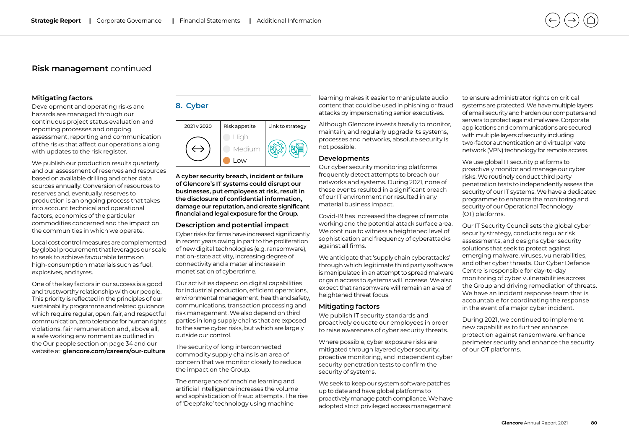#### **Mitigating factors**

Development and operating risks and hazards are managed through our continuous project status evaluation and reporting processes and ongoing assessment, reporting and communication of the risks that affect our operations along with updates to the risk register.

We publish our production results quarterly and our assessment of reserves and resources based on available drilling and other data sources annually. Conversion of resources to reserves and, eventually, reserves to production is an ongoing process that takes into account technical and operational factors, economics of the particular commodities concerned and the impact on the communities in which we operate.

Local cost control measures are complemented by global procurement that leverages our scale to seek to achieve favourable terms on high-consumption materials such as fuel, explosives, and tyres.

One of the key factors in our success is a good and trustworthy relationship with our people. This priority is reflected in the principles of our sustainability programme and related guidance, which require regular, open, fair, and respectful communication, zero tolerance for human rights violations, fair remuneration and, above all, a safe working environment as outlined in the Our people section on page 34 and our website at: **[glencore.com/careers/our-culture](https://www.glencore.com/careers/our-culture)**

## **8. Cyber**



**A cyber security breach, incident or failure of Glencore's IT systems could disrupt our businesses, put employees at risk, result in the disclosure of confidential information, damage our reputation, and create significant financial and legal exposure for the Group.**

### **Description and potential impact**

Cyber risks for firms have increased significantly in recent years owing in part to the proliferation of new digital technologies (e.g. ransomware), nation-state activity, increasing degree of connectivity and a material increase in monetisation of cybercrime.

Our activities depend on digital capabilities for industrial production, efficient operations, environmental management, health and safety, communications, transaction processing and risk management. We also depend on third parties in long supply chains that are exposed to the same cyber risks, but which are largely outside our control.

The security of long interconnected commodity supply chains is an area of concern that we monitor closely to reduce the impact on the Group.

The emergence of machine learning and artificial intelligence increases the volume and sophistication of fraud attempts. The rise of 'Deepfake' technology using machine

learning makes it easier to manipulate audio content that could be used in phishing or fraud attacks by impersonating senior executives.

Although Glencore invests heavily to monitor, maintain, and regularly upgrade its systems, processes and networks, absolute security is not possible.

### **Developments**

Our cyber security monitoring platforms frequently detect attempts to breach our networks and systems. During 2021, none of these events resulted in a significant breach of our IT environment nor resulted in any material business impact.

Covid-19 has increased the degree of remote working and the potential attack surface area. We continue to witness a heightened level of sophistication and frequency of cyberattacks against all firms.

We anticipate that 'supply chain cyberattacks' through which legitimate third party software is manipulated in an attempt to spread malware or gain access to systems will increase. We also expect that ransomware will remain an area of heightened threat focus.

#### **Mitigating factors**

We publish IT security standards and proactively educate our employees in order to raise awareness of cyber security threats.

Where possible, cyber exposure risks are mitigated through layered cyber security, proactive monitoring, and independent cyber security penetration tests to confirm the security of systems.

We seek to keep our system software patches up to date and have global platforms to proactively manage patch compliance. We have adopted strict privileged access management

to ensure administrator rights on critical systems are protected. We have multiple layers of email security and harden our computers and servers to protect against malware. Corporate applications and communications are secured with multiple layers of security including two-factor authentication and virtual private network (VPN) technology for remote access.

We use global IT security platforms to proactively monitor and manage our cyber risks. We routinely conduct third party penetration tests to independently assess the security of our IT systems. We have a dedicated programme to enhance the monitoring and security of our Operational Technology (OT) platforms.

Our IT Security Council sets the global cyber security strategy, conducts regular risk assessments, and designs cyber security solutions that seek to protect against emerging malware, viruses, vulnerabilities, and other cyber threats. Our Cyber Defence Centre is responsible for day-to-day monitoring of cyber vulnerabilities across the Group and driving remediation of threats. We have an incident response team that is accountable for coordinating the response in the event of a major cyber incident.

During 2021, we continued to implement new capabilities to further enhance protection against ransomware, enhance perimeter security and enhance the security of our OT platforms.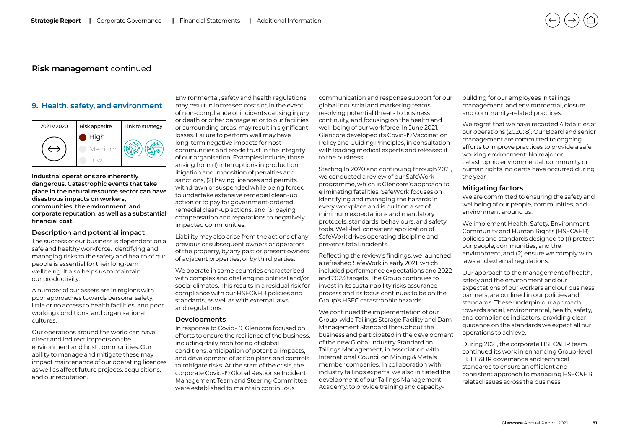### **9. Health, safety, and environment**



**Industrial operations are inherently dangerous. Catastrophic events that take place in the natural resource sector can have disastrous impacts on workers, communities, the environment, and corporate reputation, as well as a substantial financial cost.**

#### **Description and potential impact**

The success of our business is dependent on a safe and healthy workforce. Identifying and managing risks to the safety and health of our people is essential for their long-term wellbeing. It also helps us to maintain our productivity.

A number of our assets are in regions with poor approaches towards personal safety, little or no access to health facilities, and poor working conditions, and organisational cultures.

Our operations around the world can have direct and indirect impacts on the environment and host communities. Our ability to manage and mitigate these may impact maintenance of our operating licences as well as affect future projects, acquisitions, and our reputation.

Environmental, safety and health regulations may result in increased costs or, in the event of non-compliance or incidents causing injury or death or other damage at or to our facilities or surrounding areas, may result in significant losses. Failure to perform well may have long-term negative impacts for host communities and erode trust in the integrity of our organisation. Examples include, those arising from (1) interruptions in production, litigation and imposition of penalties and sanctions, (2) having licences and permits withdrawn or suspended while being forced to undertake extensive remedial clean-up action or to pay for government-ordered remedial clean-up actions, and (3) paying compensation and reparations to negatively impacted communities.

Liability may also arise from the actions of any previous or subsequent owners or operators of the property, by any past or present owners of adjacent properties, or by third parties.

We operate in some countries characterised with complex and challenging political and/or social climates. This results in a residual risk for compliance with our HSEC&HR policies and standards, as well as with external laws and regulations.

#### **Developments**

In response to Covid-19, Glencore focused on efforts to ensure the resilience of the business, including daily monitoring of global conditions, anticipation of potential impacts, and development of action plans and controls to mitigate risks. At the start of the crisis, the corporate Covid-19 Global Response Incident Management Team and Steering Committee were established to maintain continuous

communication and response support for our global industrial and marketing teams, resolving potential threats to business continuity, and focusing on the health and well-being of our workforce. In June 2021, Glencore developed its Covid-19 Vaccination Policy and Guiding Principles, in consultation with leading medical experts and released it to the business.

Starting In 2020 and continuing through 2021, we conducted a review of our SafeWork programme, which is Glencore's approach to eliminating fatalities. SafeWork focuses on identifying and managing the hazards in every workplace and is built on a set of minimum expectations and mandatory protocols, standards, behaviours, and safety tools. Well-led, consistent application of SafeWork drives operating discipline and prevents fatal incidents.

Reflecting the review's findings, we launched a refreshed SafeWork in early 2021, which included performance expectations and 2022 and 2023 targets. The Group continues to invest in its sustainability risks assurance process and its focus continues to be on the Group's HSEC catastrophic hazards.

We continued the implementation of our Group-wide Tailings Storage Facility and Dam Management Standard throughout the business and participated in the development of the new Global Industry Standard on Tailings Management, in association with International Council on Mining & Metals member companies. In collaboration with industry tailings experts, we also initiated the development of our Tailings Management Academy, to provide training and capacitybuilding for our employees in tailings management, and environmental, closure, and community-related practices.

We regret that we have recorded 4 fatalities at our operations (2020: 8). Our Board and senior management are committed to ongoing efforts to improve practices to provide a safe working environment. No major or catastrophic environmental, community or human rights incidents have occurred during the year.

### **Mitigating factors**

We are committed to ensuring the safety and wellbeing of our people, communities, and environment around us.

We implement Health, Safety, Environment, Community and Human Rights (HSEC&HR) policies and standards designed to (1) protect our people, communities, and the environment, and (2) ensure we comply with laws and external regulations.

Our approach to the management of health, safety and the environment and our expectations of our workers and our business partners, are outlined in our policies and standards. These underpin our approach towards social, environmental, health, safety, and compliance indicators, providing clear guidance on the standards we expect all our operations to achieve.

During 2021, the corporate HSEC&HR team continued its work in enhancing Group-level HSEC&HR governance and technical standards to ensure an efficient and consistent approach to managing HSEC&HR related issues across the business.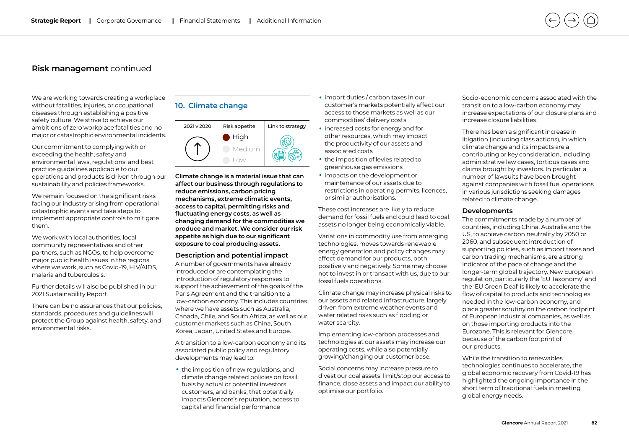We are working towards creating a workplace without fatalities, injuries, or occupational diseases through establishing a positive safety culture. We strive to achieve our ambitions of zero workplace fatalities and no major or catastrophic environmental incidents.

Our commitment to complying with or exceeding the health, safety and environmental laws, regulations, and best practice guidelines applicable to our operations and products is driven through our sustainability and policies frameworks.

We remain focused on the significant risks facing our industry arising from operational catastrophic events and take steps to implement appropriate controls to mitigate them.

We work with local authorities, local community representatives and other partners, such as NGOs, to help overcome major public health issues in the regions where we work, such as Covid-19, HIV/AIDS, malaria and tuberculosis.

Further details will also be published in our 2021 Sustainability Report.

There can be no assurances that our policies, standards, procedures and guidelines will protect the Group against health, safety, and environmental risks.

## **10. Climate change**



**Climate change is a material issue that can affect our business through regulations to reduce emissions, carbon pricing mechanisms, extreme climatic events, access to capital, permitting risks and fluctuating energy costs, as well as changing demand for the commodities we produce and market. We consider our risk appetite as high due to our significant exposure to coal producing assets.**

#### **Description and potential impact**

A number of governments have already introduced or are contemplating the introduction of regulatory responses to support the achievement of the goals of the Paris Agreement and the transition to a low-carbon economy. This includes countries where we have assets such as Australia, Canada, Chile, and South Africa, as well as our customer markets such as China, South Korea, Japan, United States and Europe.

A transition to a low-carbon economy and its associated public policy and regulatory developments may lead to:

• the imposition of new regulations, and climate change related policies on fossil fuels by actual or potential investors, customers, and banks, that potentially impacts Glencore's reputation, access to capital and financial performance

- import duties / carbon taxes in our customer's markets potentially affect our access to those markets as well as our commodities' delivery costs
- increased costs for energy and for other resources, which may impact the productivity of our assets and associated costs
- the imposition of levies related to greenhouse gas emissions
- impacts on the development or maintenance of our assets due to restrictions in operating permits, licences, or similar authorisations.

These cost increases are likely to reduce demand for fossil fuels and could lead to coal assets no longer being economically viable.

Variations in commodity use from emerging technologies, moves towards renewable energy generation and policy changes may affect demand for our products, both positively and negatively. Some may choose not to invest in or transact with us, due to our fossil fuels operations.

Climate change may increase physical risks to our assets and related infrastructure, largely driven from extreme weather events and water related risks such as flooding or water scarcity.

Implementing low-carbon processes and technologies at our assets may increase our operating costs, while also potentially growing/changing our customer base.

Social concerns may increase pressure to divest our coal assets, limit/stop our access to finance, close assets and impact our ability to optimise our portfolio.

Socio-economic concerns associated with the transition to a low-carbon economy may increase expectations of our closure plans and increase closure liabilities.

There has been a significant increase in litigation (including class actions), in which climate change and its impacts are a contributing or key consideration, including administrative law cases, tortious cases and claims brought by investors. In particular, a number of lawsuits have been brought against companies with fossil fuel operations in various jurisdictions seeking damages related to climate change.

#### **Developments**

The commitments made by a number of countries, including China, Australia and the US, to achieve carbon neutrality by 2050 or 2060, and subsequent introduction of supporting policies, such as import taxes and carbon trading mechanisms, are a strong indicator of the pace of change and the longer-term global trajectory. New European regulation, particularly the 'EU Taxonomy' and the 'EU Green Deal' is likely to accelerate the flow of capital to products and technologies needed in the low-carbon economy, and place greater scrutiny on the carbon footprint of European industrial companies, as well as on those importing products into the Eurozone. This is relevant for Glencore because of the carbon footprint of our products.

While the transition to renewables technologies continues to accelerate, the global economic recovery from Covid-19 has highlighted the ongoing importance in the short term of traditional fuels in meeting global energy needs.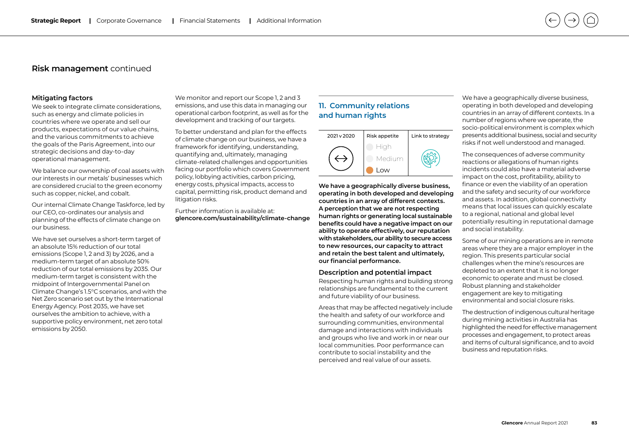#### **Mitigating factors**

We seek to integrate climate considerations, such as energy and climate policies in countries where we operate and sell our products, expectations of our value chains, and the various commitments to achieve the goals of the Paris Agreement, into our strategic decisions and day-to-day operational management.

We balance our ownership of coal assets with our interests in our metals' businesses which are considered crucial to the green economy such as copper, nickel, and cobalt.

Our internal Climate Change Taskforce, led by our CEO, co-ordinates our analysis and planning of the effects of climate change on our business.

We have set ourselves a short-term target of an absolute 15% reduction of our total emissions (Scope 1, 2 and 3) by 2026, and a medium-term target of an absolute 50% reduction of our total emissions by 2035. Our medium-term target is consistent with the midpoint of Intergovernmental Panel on Climate Change's 1.5°C scenarios, and with the Net Zero scenario set out by the International Energy Agency. Post 2035, we have set ourselves the ambition to achieve, with a supportive policy environment, net zero total emissions by 2050.

We monitor and report our Scope 1, 2 and 3 emissions, and use this data in managing our operational carbon footprint, as well as for the development and tracking of our targets.

To better understand and plan for the effects of climate change on our business, we have a framework for identifying, understanding, quantifying and, ultimately, managing climate-related challenges and opportunities facing our portfolio which covers Government policy, lobbying activities, carbon pricing, energy costs, physical impacts, access to capital, permitting risk, product demand and litigation risks.

Further information is available at: **[glencore.com/sustainability/climate-change](https://www.glencore.com/sustainability/climate-change)**

## **11. Community relations and human rights**

| 2021 v 2020 | Risk appetite | Link to strategy |
|-------------|---------------|------------------|
|             | Medium        |                  |
|             | O(M)          |                  |

**We have a geographically diverse business, operating in both developed and developing countries in an array of different contexts. A perception that we are not respecting human rights or generating local sustainable benefits could have a negative impact on our ability to operate effectively, our reputation with stakeholders, our ability to secure access to new resources, our capacity to attract and retain the best talent and ultimately, our financial performance.**

#### **Description and potential impact**

Respecting human rights and building strong relationships are fundamental to the current and future viability of our business.

Areas that may be affected negatively include the health and safety of our workforce and surrounding communities, environmental damage and interactions with individuals and groups who live and work in or near our local communities. Poor performance can contribute to social instability and the perceived and real value of our assets.

We have a geographically diverse business, operating in both developed and developing countries in an array of different contexts. In a number of regions where we operate, the socio-political environment is complex which presents additional business, social and security risks if not well understood and managed.

The consequences of adverse community reactions or allegations of human rights incidents could also have a material adverse impact on the cost, profitability, ability to finance or even the viability of an operation and the safety and security of our workforce and assets. In addition, global connectivity means that local issues can quickly escalate to a regional, national and global level potentially resulting in reputational damage and social instability.

Some of our mining operations are in remote areas where they are a major employer in the region. This presents particular social challenges when the mine's resources are depleted to an extent that it is no longer economic to operate and must be closed. Robust planning and stakeholder engagement are key to mitigating environmental and social closure risks.

The destruction of indigenous cultural heritage during mining activities in Australia has highlighted the need for effective management processes and engagement, to protect areas and items of cultural significance, and to avoid business and reputation risks.